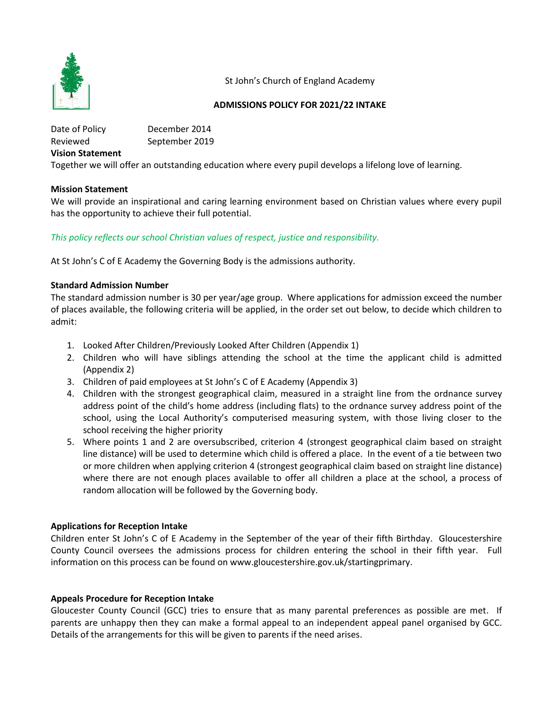

St John's Church of England Academy

### **ADMISSIONS POLICY FOR 2021/22 INTAKE**

Date of Policy December 2014 Reviewed September 2019 **Vision Statement** Together we will offer an outstanding education where every pupil develops a lifelong love of learning.

### **Mission Statement**

We will provide an inspirational and caring learning environment based on Christian values where every pupil has the opportunity to achieve their full potential.

# *This policy reflects our school Christian values of respect, justice and responsibility.*

At St John's C of E Academy the Governing Body is the admissions authority.

#### **Standard Admission Number**

The standard admission number is 30 per year/age group. Where applications for admission exceed the number of places available, the following criteria will be applied, in the order set out below, to decide which children to admit:

- 1. Looked After Children/Previously Looked After Children (Appendix 1)
- 2. Children who will have siblings attending the school at the time the applicant child is admitted (Appendix 2)
- 3. Children of paid employees at St John's C of E Academy (Appendix 3)
- 4. Children with the strongest geographical claim, measured in a straight line from the ordnance survey address point of the child's home address (including flats) to the ordnance survey address point of the school, using the Local Authority's computerised measuring system, with those living closer to the school receiving the higher priority
- 5. Where points 1 and 2 are oversubscribed, criterion 4 (strongest geographical claim based on straight line distance) will be used to determine which child is offered a place. In the event of a tie between two or more children when applying criterion 4 (strongest geographical claim based on straight line distance) where there are not enough places available to offer all children a place at the school, a process of random allocation will be followed by the Governing body.

### **Applications for Reception Intake**

Children enter St John's C of E Academy in the September of the year of their fifth Birthday. Gloucestershire County Council oversees the admissions process for children entering the school in their fifth year. Full information on this process can be found on www.gloucestershire.gov.uk/startingprimary.

### **Appeals Procedure for Reception Intake**

Gloucester County Council (GCC) tries to ensure that as many parental preferences as possible are met. If parents are unhappy then they can make a formal appeal to an independent appeal panel organised by GCC. Details of the arrangements for this will be given to parents if the need arises.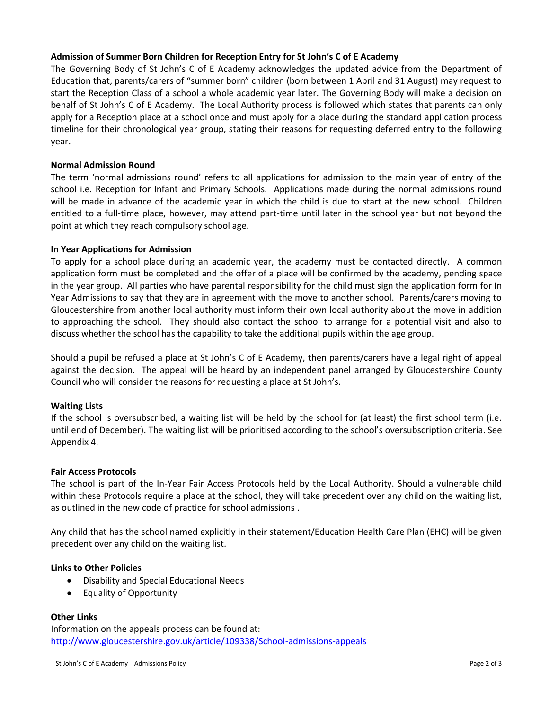### **Admission of Summer Born Children for Reception Entry for St John's C of E Academy**

The Governing Body of St John's C of E Academy acknowledges the updated advice from the Department of Education that, parents/carers of "summer born" children (born between 1 April and 31 August) may request to start the Reception Class of a school a whole academic year later. The Governing Body will make a decision on behalf of St John's C of E Academy. The Local Authority process is followed which states that parents can only apply for a Reception place at a school once and must apply for a place during the standard application process timeline for their chronological year group, stating their reasons for requesting deferred entry to the following year.

### **Normal Admission Round**

The term 'normal admissions round' refers to all applications for admission to the main year of entry of the school i.e. Reception for Infant and Primary Schools. Applications made during the normal admissions round will be made in advance of the academic year in which the child is due to start at the new school. Children entitled to a full-time place, however, may attend part-time until later in the school year but not beyond the point at which they reach compulsory school age.

# **In Year Applications for Admission**

To apply for a school place during an academic year, the academy must be contacted directly. A common application form must be completed and the offer of a place will be confirmed by the academy, pending space in the year group. All parties who have parental responsibility for the child must sign the application form for In Year Admissions to say that they are in agreement with the move to another school. Parents/carers moving to Gloucestershire from another local authority must inform their own local authority about the move in addition to approaching the school. They should also contact the school to arrange for a potential visit and also to discuss whether the school has the capability to take the additional pupils within the age group.

Should a pupil be refused a place at St John's C of E Academy, then parents/carers have a legal right of appeal against the decision. The appeal will be heard by an independent panel arranged by Gloucestershire County Council who will consider the reasons for requesting a place at St John's.

### **Waiting Lists**

If the school is oversubscribed, a waiting list will be held by the school for (at least) the first school term (i.e. until end of December). The waiting list will be prioritised according to the school's oversubscription criteria. See Appendix 4.

### **Fair Access Protocols**

The school is part of the In-Year Fair Access Protocols held by the Local Authority. Should a vulnerable child within these Protocols require a place at the school, they will take precedent over any child on the waiting list, as outlined in the new code of practice for school admissions .

Any child that has the school named explicitly in their statement/Education Health Care Plan (EHC) will be given precedent over any child on the waiting list.

### **Links to Other Policies**

- Disability and Special Educational Needs
- Equality of Opportunity

### **Other Links**

Information on the appeals process can be found at: http://www.gloucestershire.gov.uk/article/109338/School-admissions-appeals